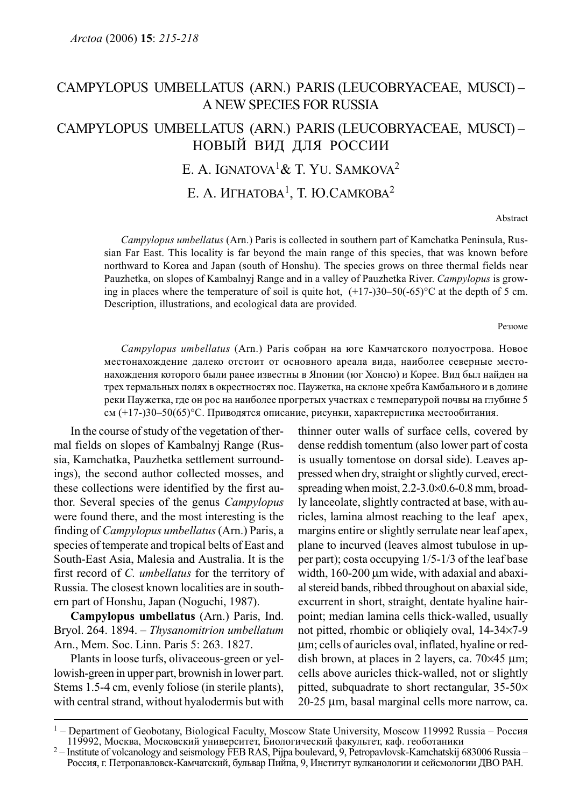### CAMPYLOPUS UMBELLATUS (ARN.) PARIS (LEUCOBRYACEAE, MUSCI) – A NEW SPECIES FOR RUSSIA

# CAMPYLOPUS UMBELLATUS (ARN.) PARIS (LEUCOBRYACEAE, MUSCI) – НОВЫЙ ВИД ДЛЯ РОССИИ

## E. A. IGNATOVA1& T. YU. SAMKOVA<sup>2</sup>

Е. А. ИГНАТОВА<sup>1</sup>, Т. Ю.САМКОВА<sup>2</sup>

Abstract

Campylopus umbellatus (Arn.) Paris is collected in southern part of Kamchatka Peninsula, Russian Far East. This locality is far beyond the main range of this species, that was known before northward to Korea and Japan (south of Honshu). The species grows on three thermal fields near Pauzhetka, on slopes of Kambalnyj Range and in a valley of Pauzhetka River. Campylopus is growing in places where the temperature of soil is quite hot,  $(+17-)30-50(-65)$ °C at the depth of 5 cm. Description, illustrations, and ecological data are provided.

Резюме

Campylopus umbellatus (Arn.) Paris собран на юге Камчатского полуострова. Новое местонахождение далеко отстоит от основного ареала вида, наиболее северные местонахождения которого были ранее известны в Японии (юг Хонсю) и Корее. Вид был найден на трех термальных полях в окрестностях пос. Паужетка, на склоне хребта Камбального и в долине реки Паужетка, где он рос на наиболее прогретых участках с температурой почвы на глубине 5 см (+17-)30–50(65)°C. Приводятся описание, рисунки, характеристика местообитания.

In the course of study of the vegetation of thermal fields on slopes of Kambalnyj Range (Russia, Kamchatka, Pauzhetka settlement surroundings), the second author collected mosses, and these collections were identified by the first author. Several species of the genus Campylopus were found there, and the most interesting is the finding of Campylopus umbellatus (Arn.) Paris, a species of temperate and tropical belts of East and South-East Asia, Malesia and Australia. It is the first record of C. *umbellatus* for the territory of Russia. The closest known localities are in southern part of Honshu, Japan (Noguchi, 1987).

Campylopus umbellatus (Arn.) Paris, Ind. Bryol. 264. 1894. – Thysanomitrion umbellatum Arn., Mem. Soc. Linn. Paris 5: 263. 1827.

Plants in loose turfs, olivaceous-green or yellowish-green in upper part, brownish in lower part. Stems 1.5-4 cm, evenly foliose (in sterile plants), with central strand, without hyalodermis but with thinner outer walls of surface cells, covered by dense reddish tomentum (also lower part of costa is usually tomentose on dorsal side). Leaves appressed when dry, straight or slightly curved, erectspreading when moist, 2.2-3.0×0.6-0.8 mm, broadly lanceolate, slightly contracted at base, with auricles, lamina almost reaching to the leaf apex, margins entire or slightly serrulate near leaf apex, plane to incurved (leaves almost tubulose in upper part); costa occupying 1/5-1/3 of the leaf base width, 160-200 μm wide, with adaxial and abaxial stereid bands, ribbed throughout on abaxial side, excurrent in short, straight, dentate hyaline hairpoint; median lamina cells thick-walled, usually not pitted, rhombic or obliqiely oval, 14-34×7-9 μm; cells of auricles oval, inflated, hyaline or reddish brown, at places in 2 layers, ca. 70×45 μm; cells above auricles thick-walled, not or slightly pitted, subquadrate to short rectangular, 35-50× 20-25 μm, basal marginal cells more narrow, ca.

 $1$  – Department of Geobotany, Biological Faculty, Moscow State University, Moscow 119992 Russia – Россия 119992, Москва, Московский университет, Биологический факультет, каф. геоботаники <sup>2</sup>

 $^2$  – Institute of volcanology and seismology FEB RAS, Pijpa boulevard, 9, Petropavlovsk-Kamchatskij 683006 Russia – Россия, г. Петропавловск-Камчатский, бульвар Пийпа, 9, Институт вулканологии и сейсмологии ДВО РАН.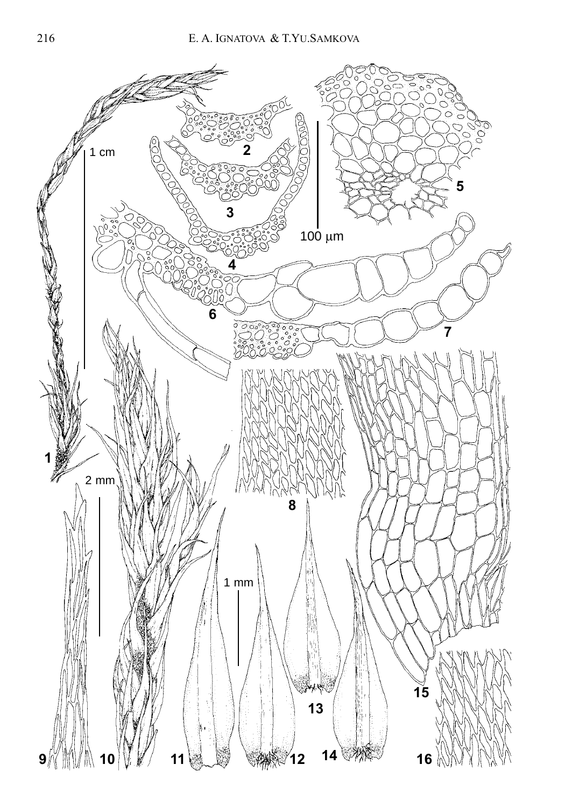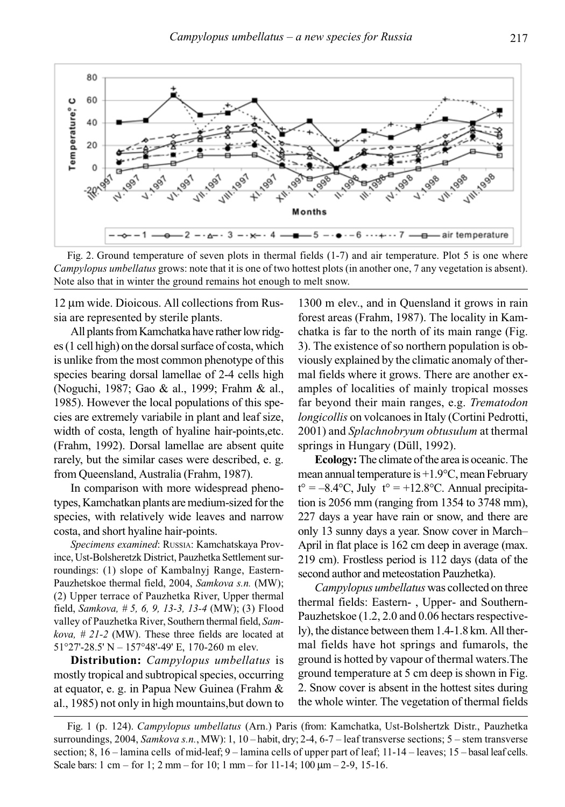

Fig. 2. Ground temperature of seven plots in thermal fields (1-7) and air temperature. Plot 5 is one where Campylopus umbellatus grows: note that it is one of two hottest plots (in another one, 7 any vegetation is absent). Note also that in winter the ground remains hot enough to melt snow.

12 μm wide. Dioicous. All collections from Russia are represented by sterile plants.

All plants from Kamchatka have rather low ridges (1 cell high) on the dorsal surface of costa, which is unlike from the most common phenotype of this species bearing dorsal lamellae of 2-4 cells high (Noguchi, 1987; Gao & al., 1999; Frahm & al., 1985). However the local populations of this species are extremely variabile in plant and leaf size, width of costa, length of hyaline hair-points,etc. (Frahm, 1992). Dorsal lamellae are absent quite rarely, but the similar cases were described, e. g. from Queensland, Australia (Frahm, 1987).

In comparison with more widespread phenotypes, Kamchatkan plants are medium-sized for the species, with relatively wide leaves and narrow costa, and short hyaline hair-points.

Specimens examined: RUSSIA: Kamchatskaya Province, Ust-Bolsheretzk District, Pauzhetka Settlement surroundings: (1) slope of Kambalnyj Range, Eastern-Pauzhetskoe thermal field, 2004, Samkova s.n. (MW); (2) Upper terrace of Pauzhetka River, Upper thermal field, Samkova, # 5, 6, 9, 13-3, 13-4 (MW); (3) Flood valley of Pauzhetka River, Southern thermal field, Samkova,  $\#$  21-2 (MW). These three fields are located at 51°27'-28.5' N – 157°48'-49' E, 170-260 m elev.

**Distribution:** *Campylopus umbellatus* is mostly tropical and subtropical species, occurring at equator, e. g. in Papua New Guinea (Frahm & al., 1985) not only in high mountains,but down to 1300 m elev., and in Quensland it grows in rain forest areas (Frahm, 1987). The locality in Kamchatka is far to the north of its main range (Fig. 3). The existence of so northern population is obviously explained by the climatic anomaly of thermal fields where it grows. There are another examples of localities of mainly tropical mosses far beyond their main ranges, e.g. Trematodon longicollis on volcanoes in Italy (Cortini Pedrotti, 2001) and Splachnobryum obtusulum at thermal springs in Hungary (Düll, 1992).

Ecology: The climate of the area is oceanic. The mean annual temperature is +1.9°C, mean February  $t^{\circ} = -8.4$ °C, July  $t^{\circ} = +12.8$ °C. Annual precipitation is 2056 mm (ranging from 1354 to 3748 mm), 227 days a year have rain or snow, and there are only 13 sunny days a year. Snow cover in March– April in flat place is 162 cm deep in average (max. 219 cm). Frostless period is 112 days (data of the second author and meteostation Pauzhetka).

Campylopus umbellatus was collected on three thermal fields: Eastern- , Upper- and Southern-Pauzhetskoe (1.2, 2.0 and 0.06 hectars respectively), the distance between them 1.4-1.8 km. All thermal fields have hot springs and fumarols, the ground is hotted by vapour of thermal waters.The ground temperature at 5 cm deep is shown in Fig. 2. Snow cover is absent in the hottest sites during the whole winter. The vegetation of thermal fields

Fig. 1 (p. 124). Campylopus umbellatus (Arn.) Paris (from: Kamchatka, Ust-Bolshertzk Distr., Pauzhetka surroundings, 2004, Samkova s.n., MW): 1, 10 – habit, dry; 2-4, 6-7 – leaf transverse sections; 5 – stem transverse section; 8, 16 – lamina cells of mid-leaf; 9 – lamina cells of upper part of leaf; 11-14 – leaves; 15 – basal leaf cells. Scale bars: 1 cm – for 1; 2 mm – for 10; 1 mm – for 11-14; 100 μm – 2-9, 15-16.